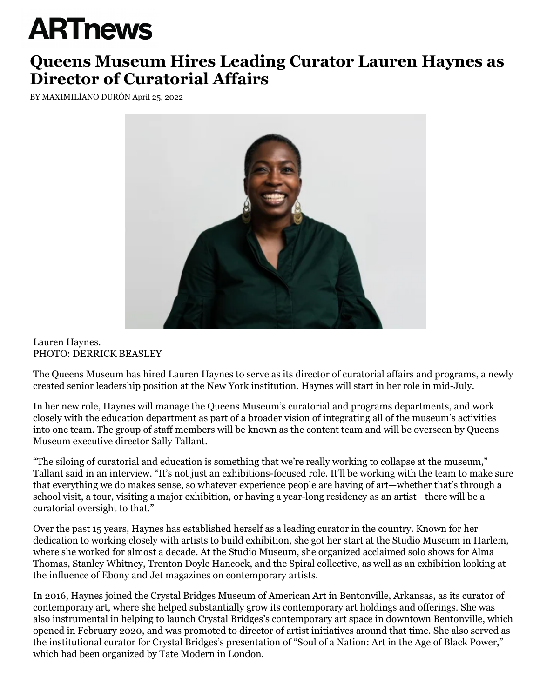## **ARTnews**

## **Queens Museum Hires Leading Curator Lauren Haynes as Director of Curatorial Affairs**

BY [MAXIMILÍANO DURÓN](https://www.artnews.com/author/maximiliano-duron/) April 25, 2022



## Lauren Haynes. PHOTO: DERRICK BEASLEY

The [Queens Museum](https://www.artnews.com/t/queens-museum/) has hired [Lauren Haynes](https://www.artnews.com/t/lauren-haynes/) to serve as its director of curatorial affairs and programs, a newly created senior leadership position at the New York institution. Haynes will start in her role in mid-July.

In her new role, Haynes will manage the Queens Museum's curatorial and programs departments, and work closely with the education department as part of a broader vision of integrating all of the museum's activities into one team. The group of staff members will be known as the content team and will be overseen by Queens Museum executive director [Sally Tallant.](https://www.artnews.com/t/sally-tallant/)

"The siloing of curatorial and education is something that we're really working to collapse at the museum," Tallant said in an interview. "It's not just an exhibitions-focused role. It'll be working with the team to make sure that everything we do makes sense, so whatever experience people are having of art—whether that's through a school visit, a tour, visiting a major exhibition, or having a year-long residency as an artist—there will be a curatorial oversight to that."

Over the past 15 years, Haynes has established herself as a leading curator in the country. Known for her dedication to working closely with artists to build exhibition, she got her start at the Studio Museum in Harlem, where she worked for almost a decade. At the Studio Museum, she organized acclaimed solo shows for Alma Thomas, Stanley Whitney, Trenton Doyle Hancock, and the Spiral collective, as well as an exhibition looking at the influence of Ebony and Jet magazines on contemporary artists.

In 2016, Haynes joined the Crystal Bridges Museum of American Art in Bentonville, Arkansas, as its curator of contemporary art, where she helped substantially grow its contemporary art holdings and offerings. She was also instrumental in helping to launch Crystal Bridges's contemporary art space in downtown Bentonville, which opened in February 2020, and was promoted to director of artist initiatives around that time. She also served as the institutional curator for Crystal Bridges's presentation of "Soul of a Nation: Art in the Age of Black Power," which had been organized by Tate Modern in London.